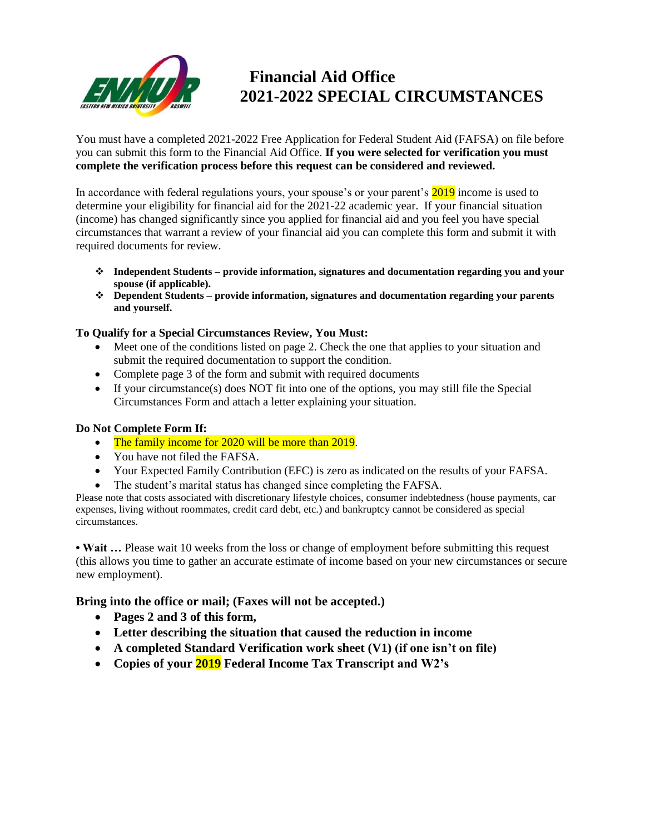

# **Financial Aid Office 2021-2022 SPECIAL CIRCUMSTANCES**

You must have a completed 2021-2022 Free Application for Federal Student Aid (FAFSA) on file before you can submit this form to the Financial Aid Office. **If you were selected for verification you must complete the verification process before this request can be considered and reviewed.**

In accordance with federal regulations yours, your spouse's or your parent's 2019 income is used to determine your eligibility for financial aid for the 2021-22 academic year. If your financial situation (income) has changed significantly since you applied for financial aid and you feel you have special circumstances that warrant a review of your financial aid you can complete this form and submit it with required documents for review.

- ❖ **Independent Students – provide information, signatures and documentation regarding you and your spouse (if applicable).**
- ❖ **Dependent Students – provide information, signatures and documentation regarding your parents and yourself.**

### **To Qualify for a Special Circumstances Review, You Must:**

- Meet one of the conditions listed on page 2. Check the one that applies to your situation and submit the required documentation to support the condition.
- Complete page 3 of the form and submit with required documents
- If your circumstance(s) does NOT fit into one of the options, you may still file the Special Circumstances Form and attach a letter explaining your situation.

### **Do Not Complete Form If:**

- The family income for 2020 will be more than 2019.
- You have not filed the FAFSA.
- Your Expected Family Contribution (EFC) is zero as indicated on the results of your FAFSA.
- The student's marital status has changed since completing the FAFSA.

Please note that costs associated with discretionary lifestyle choices, consumer indebtedness (house payments, car expenses, living without roommates, credit card debt, etc.) and bankruptcy cannot be considered as special circumstances.

• Wait ... Please wait 10 weeks from the loss or change of employment before submitting this request (this allows you time to gather an accurate estimate of income based on your new circumstances or secure new employment).

**Bring into the office or mail; (Faxes will not be accepted.)**

- **Pages 2 and 3 of this form,**
- **Letter describing the situation that caused the reduction in income**
- **A completed Standard Verification work sheet (V1) (if one isn't on file)**
- **Copies of your 2019 Federal Income Tax Transcript and W2's**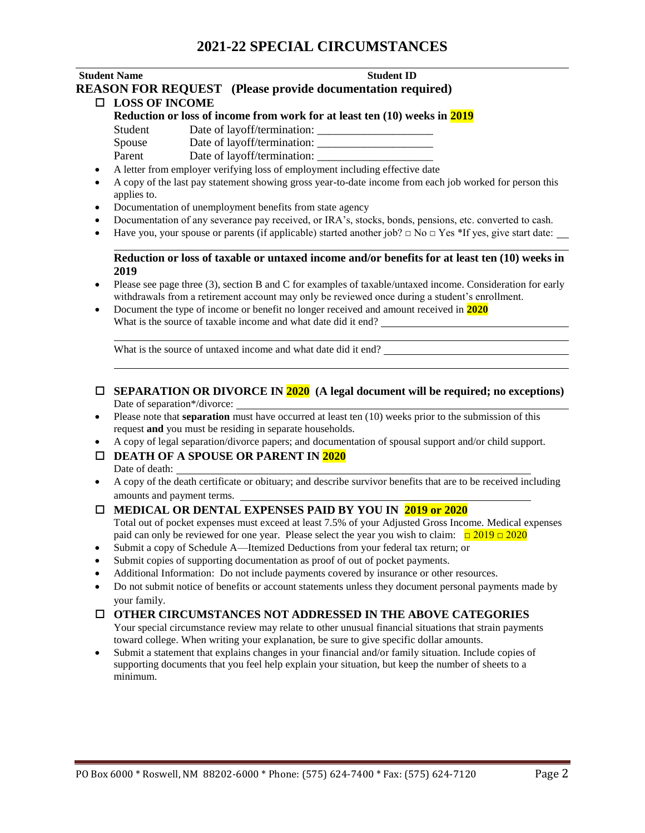### **Student Name** Student ID

## **REASON FOR REQUEST (Please provide documentation required)**

#### **LOSS OF INCOME**

**Reduction or loss of income from work for at least ten (10) weeks in 2019** Student Date of layoff/termination:

Spouse Date of layoff/termination: \_\_\_\_\_\_\_\_\_\_\_\_\_\_\_\_\_\_\_\_ Parent Date of layoff/termination:

- A letter from employer verifying loss of employment including effective date
- A copy of the last pay statement showing gross year-to-date income from each job worked for person this applies to.
- Documentation of unemployment benefits from state agency
- Documentation of any severance pay received, or IRA's, stocks, bonds, pensions, etc. converted to cash.
- Have you, your spouse or parents (if applicable) started another job?  $\Box$  No  $\Box$  Yes \*If yes, give start date:

#### **Reduction or loss of taxable or untaxed income and/or benefits for at least ten (10) weeks in 2019**

- Please see page three (3), section B and C for examples of taxable/untaxed income. Consideration for early withdrawals from a retirement account may only be reviewed once during a student's enrollment.
- Document the type of income or benefit no longer received and amount received in **2020** What is the source of taxable income and what date did it end?

What is the source of untaxed income and what date did it end?

#### **SEPARATION OR DIVORCE IN 2020 (A legal document will be required; no exceptions)** Date of separation\*/divorce:

- Please note that **separation** must have occurred at least ten (10) weeks prior to the submission of this request **and** you must be residing in separate households.
- A copy of legal separation/divorce papers; and documentation of spousal support and/or child support.

#### **DEATH OF A SPOUSE OR PARENT IN 2020** Date of death:

• A copy of the death certificate or obituary; and describe survivor benefits that are to be received including amounts and payment terms.

#### **MEDICAL OR DENTAL EXPENSES PAID BY YOU IN 2019 or 2020**

Total out of pocket expenses must exceed at least 7.5% of your Adjusted Gross Income. Medical expenses paid can only be reviewed for one year. Please select the year you wish to claim:  $\Box$  2019  $\Box$  2020

- Submit a copy of Schedule A—Itemized Deductions from your federal tax return; or
- Submit copies of supporting documentation as proof of out of pocket payments.
- Additional Information: Do not include payments covered by insurance or other resources.
- Do not submit notice of benefits or account statements unless they document personal payments made by your family.

#### **OTHER CIRCUMSTANCES NOT ADDRESSED IN THE ABOVE CATEGORIES**

Your special circumstance review may relate to other unusual financial situations that strain payments toward college. When writing your explanation, be sure to give specific dollar amounts.

• Submit a statement that explains changes in your financial and/or family situation. Include copies of supporting documents that you feel help explain your situation, but keep the number of sheets to a minimum.

l,

l,